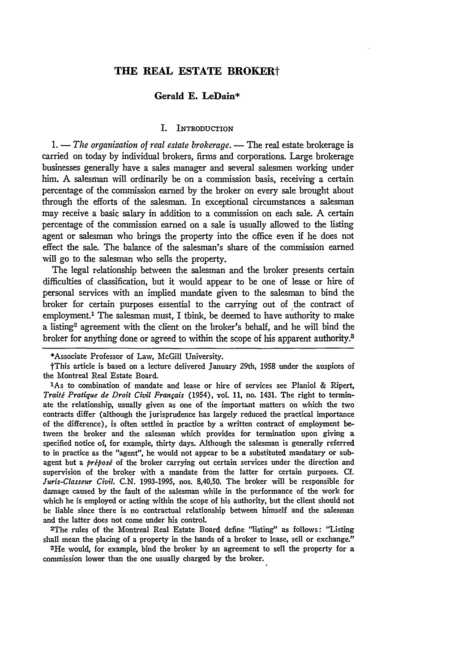## **THE REAL ESTATE BROKERt**

## **Gerald E. LeDain\***

## I. INTRODUCTION

1. - *The organization of real estate brokerage*. - The real estate brokerage is carried on today by individual brokers, firms and corporations. Large brokerage businesses generally have a sales manager and several salesmen working under him. **A** salesman will ordinarily be on a commission basis, receiving a certain percentage of the commission earned **by** the broker on every sale brought about through the efforts of the salesman. In exceptional circumstances a salesman may receive a basic salary in addition to a commission on each sale. **A** certain percentage of the commission earned on a sale is usually allowed to the listing agent or salesman who brings the property into the office even **if** he does not effect the sale. The balance of the salesman's share of the commission earned will go to the salesman who sells the property.

The legal relationship between the salesman and the broker presents certain difficulties of classification, but it would appear to be one of lease or hire of personal services with an implied mandate given to the salesman to bind the broker for certain purposes essential to the carrying out of the contract of employment.<sup>1</sup> The salesman must, I think, be deemed to have authority to make a listing2 agreement with the client on the broker's behalf, and he will bind the broker for anything done or agreed to within the scope of his apparent authority.<sup>3</sup>

2The rules of the Montreal Real Estate Board define "listing" as follows: "Listing shall mean the placing of a property in the hands of a broker to lease, sell or exchange."

SHe would, for example, bind the broker **by** an agreement to sell the property for a commission lower than the one usually charged **by** the broker.

<sup>\*</sup>Associate Professor of Law, McGill University.

tThis article is based on a lecture delivered January 29th, **1958** under the auspices of the Montreal Real Estate Board.

<sup>&#</sup>x27;As to combination of mandate and lease or hire of services see Planiol **&** Ripert, *Traiti Pratique de Droit Civil Franfais* (1954), vol. 11, no. 1431. The right to **termin**ate the relationship, usually given as one of the important matters on which the two contracts differ (although the jurisprudence has largely reduced the practical importance of the difference), is often settled in practice **by** a written contract of employment between the broker and the salesman which provides for termination upon giving a specified notice of, for example, thirty days. Although the salesman is generally referred to in practice as the "agent", he would not appear to be a substituted mandatary or subagent but a *préposé* of the broker carrying out certain services under the direction and supervision of the broker with a mandate from the latter for certain purposes. **Cf.** *Juris-Classeur Civil.* **C.N.** 1993-1995, nos. 8,40,50. The broker will be responsible for damage caused **by** the fault of the salesman while in the performance of the work for which he is employed or acting within the scope of his authority, but the client should not be liable since there is no contractual relationship between himself and the salesman and the latter does not come under his control.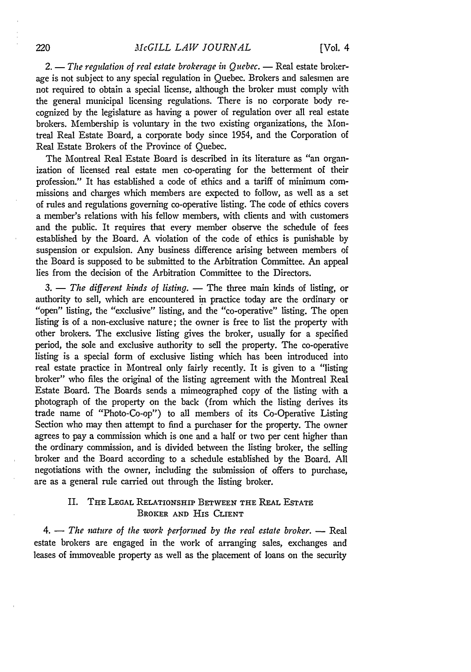2. - *The regulation of real estate brokerage in Quebec.* - Real estate brokerage is not subject to any special regulation in Quebec. Brokers and salesmen are not required to obtain a special license, although the broker must comply with the general municipal licensing regulations. There is no corporate body recognized by the legislature as having a power of regulation over all real estate brokers. Membership is voluntary in the two existing organizations, the Montreal Real Estate Board, a corporate body since 1954, and the Corporation of Real Estate Brokers of the Province of Quebec.

The Montreal Real Estate Board is described in its literature as "an organization of licensed real estate men co-operating for the betterment of their profession." It has established a code of ethics and a tariff of minimum commissions and charges which members are expected to follow, as well as a set of rules and regulations governing co-operative listing. The code of ethics covers a member's relations with his fellow members, with clients and with customers and the public. It requires that every member observe the schedule of fees established by the Board. A violation of the code of ethics is punishable by suspension or expulsion. Any business difference arising between members of the Board is supposed to be submitted to the Arbitration Committee. An appeal lies from the decision of the Arbitration Committee to the Directors.

3. — *The different kinds of listing.* — The three main kinds of listing, or authority to sell, which are encountered in practice today are the ordinary or "open" listing, the "exclusive" listing, and the "co-operative" listing. The open listing is of a non-exclusive nature; the owner is free to list the property with other brokers. The exclusive listing gives the broker, usually for a specified period, the sole and exclusive authority to sell the property. The co-operative listing is a special form of exclusive listing which has been introduced into real estate practice in Montreal only fairly recently. It is given to a "listing broker" who files the original of the listing agreement with the Montreal Real Estate Board. The Boards sends a mimeographed copy of the listing with a photograph of the property on the back (from which the listing derives its trade name of "Photo-Co-op") to all members of its Co-Operative Listing Section who may then attempt to find a purchaser for the property. The owner agrees to pay a commission which is one and a half or two per cent higher than the ordinary commission, and is divided between the listing broker, the selling broker and the Board according to a schedule established **by** the Board. **All** negotiations with the owner, including the submission of offers to purchase, are as a general rule carried out through the listing broker.

# II. **THE LEGAL** RELATIONSHIP **BETWEEN THE** REAL **ESTATE** BROKER **AND** His **CLIENT**

*4.* **-** *The nature of the work performed by the real estate broker.* **-** Real estate brokers are engaged in the work of arranging sales, exchanges and leases of immoveable property as well as the placement of loans on the security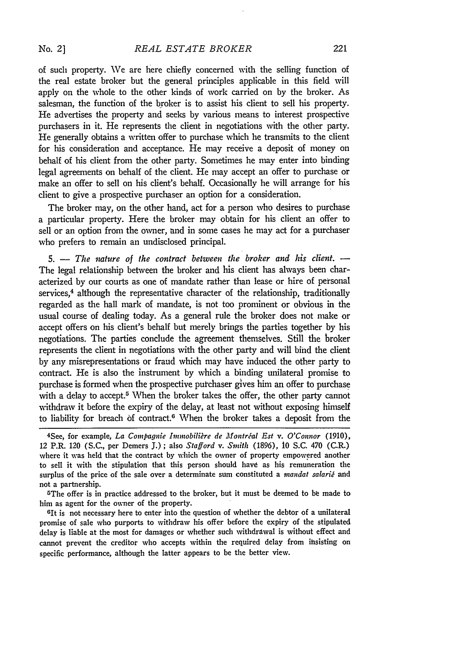No. 21

of such property. We are here chiefly concerned with the selling function of the real estate broker but the general principles applicable in this field will apply on the whole to the other kinds of work carried on by the broker. As salesman, the function of the broker is to assist his client to sell his property. He advertises the property and seeks by various means to interest prospective purchasers in it. He represents the client in negotiations with the other party. He generally obtains a written offer to purchase which he transmits to the client for his consideration and acceptance. He may receive a deposit of money on behalf of his client from the other party. Sometimes he may enter into binding legal agreements on behalf of the client. He may accept an offer to purchase or make an offer to sell on his client's behalf. Occasionally he will arrange for his client to give a prospective purchaser an option for a consideration.

The broker may, on the other hand, act for a person who desires to purchase a particular property. Here the broker may obtain for his client an offer to sell or an option from the owner, and in some cases he may act for a purchaser who prefers to remain an undisclosed principal.

5. - The nature of the contract between the broker and his client. -The legal relationship between the broker and his client has always been characterized by our courts as one of mandate rather than lease or hire of personal services,<sup>4</sup> although the representative character of the relationship, traditionally regarded as the hall mark of mandate, is not too prominent or obvious in the usual course of dealing today. As a general rule the broker does not make or accept offers on his client's behalf but merely brings the parties together **by** his negotiations. The parties conclude the agreement themselves. Still the broker represents the client in negotiations with the other party and will bind the client by any misrepresentations or fraud which may have induced the other party to contract. He is also the instrument by which a binding unilateral promise to purchase is formed when the prospective putchaser gives him an offer to purchase with a delay to accept.<sup>5</sup> When the broker takes the offer, the other party cannot withdraw it before the expiry of the delay, at least not without exposing himself to liability for breach of contract.<sup>6</sup> When the broker takes a deposit from the

him as agent for the owner of the property. **<sup>6</sup>**

<sup>6</sup>It is not necessary here to enter into the question of whether the debtor of a unilateral promise of sale who purports to withdraw his offer before the expiry of the stipulated delay is liable at the most for damages or whether such withdrawal is without effect and cannot prevent the creditor who accepts within the required delay from insisting on specific performance, although the latter appears to be the better view.

<sup>4</sup>See, for example, *La Compagnie Immobilire de Montrial Est v. O'Connor* (1910), 12 P.R. 120 (S.C., per Demers **J.)** ; also *Stafford v. Smith* (1896), 10 S.C. 470 (C.R.) where it was held that the contract by which the owner of property empowered another to sell it with the stipulation that this person should have as his remuneration the surplus of the price of the sale over a determinate sum constituted a *mandat salarié* and not a partnership. 5The offer is in practice addressed to the broker, but it must be deemed to be made to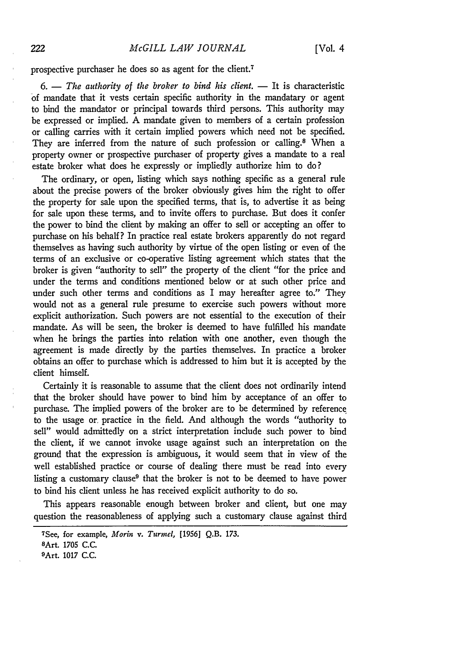prospective purchaser he does so as agent for the client.<sup>7</sup>

6. — The authority of the broker to bind his client. — It is characteristic of mandate that it vests certain specific authority in the mandatary or agent to bind the mandator or principal towards third persons. This authority may be expressed or implied. **A** mandate given to members of a certain profession or calling carries with it certain implied powers which need not be specified. They are inferred from the nature of such profession or calling.<sup>8</sup> When a property owner or prospective purchaser of property gives a mandate to a real estate broker what does he expressly or impliedly authorize him to do?

The ordinary, or open, listing which says nothing specific as a general rule about the precise powers of the broker obviously gives him the right to offer the property for sale upon the specified terms, that is, to advertise it as being for sale upon these terms, and to invite offers to purchase. But does it confer the power to bind the client by making an offer to sell or accepting an offer to purchase on his behalf? In practice real estate brokers apparently do not regard themselves as having such authority by virtue of the open listing or even of the terms of an exclusive or co-operative listing agreement which states that the broker is given "authority to sell" the property of the client "for the price and under the terms and conditions mentioned below or at such other price and under such other terms and conditions as I may hereafter agree to." They would not as a general rule presume to exercise such powers without more explicit authorization. Such powers are not essential to the execution of their mandate. As will be seen, the broker is deemed to have fulfilled his mandate when he brings the parties into relation with one another, even though the agreement is made directly by the parties themselves. In practice a broker obtains an offer to purchase which is addressed to him but it is accepted by the client himself.

Certainly it is reasonable to assume that the client does not ordinarily intend that the broker should have power to bind him by acceptance of an offer to purchase. The implied powers of the broker are to be determined by reference to the usage or, practice in the field. And although the words "authority to sell" would admittedly on a strict interpretation include such power to bind the client, if we cannot invoke usage against such an interpretation on the ground that the expression is ambiguous, it would seem that in view of the well established practice or course of dealing there must be read into every listing a customary clause<sup>9</sup> that the broker is not to be deemed to have power to bind his client unless he has received explicit authority to do so.

This appears reasonable enough between broker and client, but one may question the reasonableness of applying such a customary clause against third

<sup>7</sup>See, for example, *Morin* v. *Turmel,* [1956] **Q.B. 173.**

**SArt.** 1705 C.C.

<sup>9</sup>Art. 1017 C.C.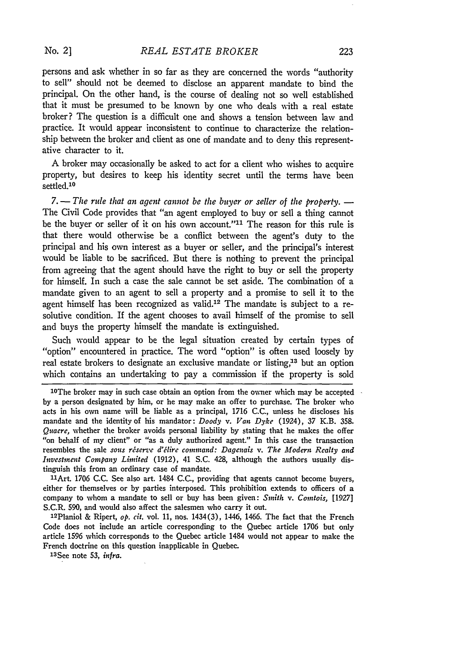persons and ask whether in so far as they are concerned the words "authority to sell" should not be deemed to disclose an apparent mandate to bind the principal. On the other hand, is the course of dealing not so well established that it must be presumed to be known by one who deals with a real estate broker? The question is a difficult one and shows a tension between law and practice. It would appear inconsistent to continue to characterize the relationship between the broker and client as one of mandate and to deny this representative character to it.

**A** broker may occasionally be asked to act for a client who wishes to acquire property, but desires to keep his identity secret until the terms have been settled.<sup>10</sup>

7. — The rule that an agent cannot be the buyer or seller of the property. — The Civil Code provides that "an agent employed to buy or sell a thing cannot be the buyer or seller of it on his own account."<sup>11</sup> The reason for this rule is that there would otherwise be a conflict between the agent's duty to the principal and his own interest as a buyer or seller, and the principal's interest would be liable to be sacrificed. But there is nothing to prevent the principal from agreeing that the agent should have the right to buy or sell the property for himself. In such a case the sale cannot be set aside. The combination of a mandate given to an agent to sell a property and a promise to sell it to the agent himself has been recognized as valid.<sup>12</sup> The mandate is subject to a resolutive condition. If the agent chooses to avail himself of the promise to sell and buys the property himself the mandate is extinguished.

Such would appear to be the legal situation created **by** certain types of "option" encountered in practice. The word "option" is often used loosely **by** real estate brokers to designate an exclusive mandate or listing,<sup>13</sup> but an option which contains an undertaking to pay a commission if the property is sold

"Art. 1706 C.C. See also art. 1484 C.C., providing that agents cannot become buyers, either for themselves or by parties interposed. This prohibition extends to officers of a company to whom a mandate to sell or buy has been given: *Smith v. Comtois,* [1927] S.C.R. 590, and would also affect the salesmen who carry it out.

12Ptaniol & Ripert, *op. cit.* vol. 11, nos. 1434(3), 1446, 1466. The fact that the French Code does not include an article corresponding to the Quebec article 1706 but only article 1596 which corresponds to the Quebec article 1484 would not appear to make the French doctrine on this question inapplicable in Quebec.

1 <sup>3</sup> See note 53, *infra.*

<sup>&</sup>lt;sup>10</sup>The broker may in such case obtain an option from the owner which may be accepted by a person designated **by** him, or he may make an offer to purchase. The broker who acts in his own name will **be** liable as a principal, 1716 C.C., unless he discloses his mandate and the identity of his mandator: *Doody v. Van Dyke* (1924), 37 K.B. **358.** *Quacre,* whether the broker avoids personal liability **by** stating that he makes the offer "on behalf of my client" or "as a duly authorized agent." In this case the transaction resembles the sale *sous réserve d'élire command: Dagenais v. The Modern Realty and Investment Company Limited* (1912), 41 S.C. 428, although the authors usually distinguish this from an ordinary case of mandate.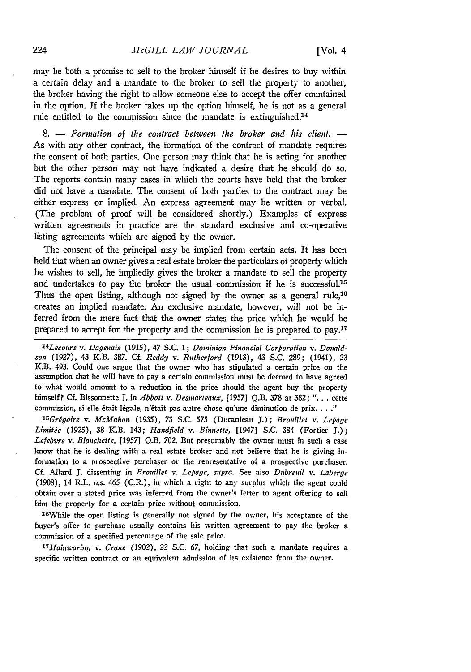may be both a promise to sell to the broker himself if he desires to buy within a certain delay and a mandate to the broker to sell the property to another, the broker having the right to allow someone else to accept the offer countained in the option. If the broker takes up the option himself, he is not as a general rule entitled to the commission since the mandate is extinguished.<sup>14</sup>

**8. -** *Formation of the contract between the broker and his client.* As with any other contract, the formation of the contract of mandate requires the consent of both parties. One person may think that he is acting for another but the other person may not have indicated a desire that he should do so. The reports contain many cases in which the courts have held that the broker did not have a mandate. The consent of both parties to the contract may be either express or implied. An express agreement may be written or verbal. (The problem of proof will be considered shortly.) Examples of express written agreements in practice are the standard exclusive and co-operative listing agreements which are signed **by** the owner.

The consent of the principal may be implied from certain acts. It has been held that when an owner gives a real estate broker the particulars of property which he wishes to sell, he impliedly gives the broker a mandate to sell the property and undertakes to pay the broker the usual commission if he is successful.<sup>15</sup> Thus the open listing, although not signed by the owner as a general rule,  $16$ creates an implied mandate. An exclusive mandate, however, will not be inferred from the mere fact that the owner states the price which he would be prepared to accept for the property and the commission he is prepared to pay.<sup>17</sup>

*14 Lecours v.* Dagenais (1915), 47 **S.C.** 1; Dominion Financial Corporation *v. Donaldson* (1927), 43 K.B. 387. **Cf.** Reddy *v. Rutherford* (1913), 43 S.C. 289; (1941), **23** K.B. 493. Could one argue that the owner who has stipulated a certain price on the assumption that he will have to pay a certain commission must **be** deemed to have agreed to what would amount to a reduction in the price should the agent buy the property himself? **Cf.** Bissonnette **J.** in *Abbott v. Desmarteaux,* [1957) Q.B. **378** at 382; ". **.** . cette commission, si elle 6tait 16gale, n'6tait pas autre chose qu'une diminution de prix. **.. ."**

1 5 Grigoire *v.* McMahon (1935), **73** S.C. **575** (Duranleau J.) ; Brouillet *v.* Lepage Limitie (1925), **38** K.B. 143; Handfield *v.* Binnette, [1947] **S.C.** 384 (Fortier **J.);** Lefebzre *v.* Blanchette, [1957] Q.B. 702. But presumably the owner must in such a case know that he is dealing with a real estate broker and not believe that he is giving information to a prospective purchaser or the representative of a prospective purchaser. **Cf.** Allard J. dissenting in Brouillet *v.* Lepage, supra. See also *Dubreuil v.* Laberge (1908), 14 R.L. n.s. 465 (C.R.), in which a right to any surplus which the agent could obtain over a stated price was inferred from the owner's letter to agent offering to sell him the property for a certain price without commission.

'6While the open listing is generally not signed by the owner, his acceptance of the buyer's offer to purchase usually contains his written agreement to pay the broker a commission of a specified percentage of the sale price.

*' 7 Mainaring v.* Crane (1902), 22 **S.C. 67,** holding that such a mandate requires a specific written contract or an equivalent admission of its existence from the owner.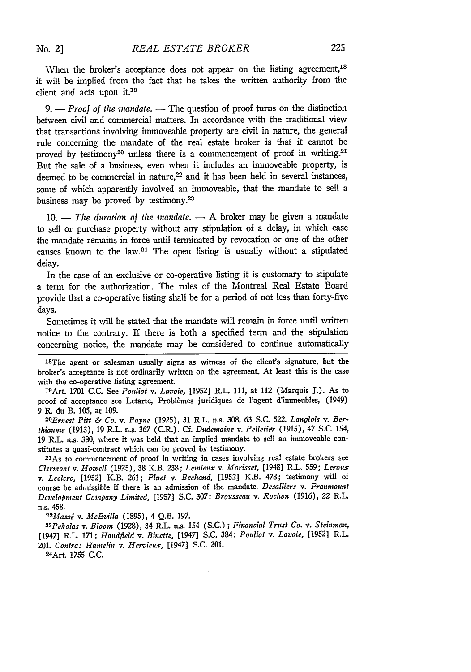When the broker's acceptance does not appear on the listing agreement.<sup>18</sup> it will be implied from the fact that he takes the written authority from the client and acts upon it.19

*9.* **-** *Proof of the mandate.* - The question of proof turns on the distinction between civil and commercial matters. In accordance with the traditional view that transactions involving immoveable property are civil in nature, the general rule concerning the mandate of the real estate broker is that it cannot be proved by testimony<sup>20</sup> unless there is a commencement of proof in writing.<sup>21</sup> But the sale of a business, even when it includes an immoveable property, is deemed to be commercial in nature,<sup>22</sup> and it has been held in several instances, some of which apparently involved an immoveable, that the mandate to sell a business may be proved by testimony.<sup>23</sup>

**10. -** *The duration of the mandate.* **-** A broker may be given a mandate to sell or purchase property without any stipulation of a delay, in which case the mandate remains in force until terminated by revocation or one of the other causes known to the law.24 The open listing is usually without a stipulated delay.

In the case of an exclusive or co-operative listing it is customary to stipulate a term for the authorization. The rules of the Montreal Real Estate Board provide that a co-operative listing shall be for a period of not less than forty-five days.

Sometimes it will be stated that the mandate will remain in force until written notice to the contrary. If there is both a specified term and the stipulation concerning notice, the mandate may be considered to continue automatically

18The agent or salesman usually signs as witness of the client's signature, but the broker's acceptance is not ordinarily written on the agreement. At least this is the case with the co-operative listing agreement.

19Art. 1701 C.C. See *Pouliot v. Lavoie,* [1952] R.L. 111, at 112 (Marquis J.). As to proof of acceptance see Letarte, Problèmes juridiques de l'agent d'immeubles, (1949) 9 R. du B. 105, at 109.

*20 Ernest Pitt & Co. v. Payne* (1925), 31 R.L. n.s. 308, 63 S.C. 522. *Langlois v. Berthlianme* (1913), 19 R.L. n.s. 367 (C.R.). Cf. *Dudemaine v. Pelletier* (1915), 47 S.C. 154, 19 R.L. n.s. 380, where it was held that an implied mandate to sell an immoveable constitutes a quasi-contract which can be proved by testimony.

2lAs to commencement of proof in writing in cases involving real estate brokers see *Clermont v. Howell* (1925), 38 K.B. 238; *Lemieux v. Morisset,* [1948] R.L. 559; *Leroux v. Leclerc,* [1952] K.B. 261; *Fluet v. Bechand,* [1952] K.B. 478; testimony will of course be admissible if there is an admission of the mandate. *Desalliers v. Franmount Development Company Limited,* [1957] S.C. 307; *Brousseau v. Rochon* (1916), 22 R.L. n.s. 458.

*22Massi v. McEvilla* (1895), 4 Q.B. 197.

*23 Pekolas v. Bloom* (1928), 34 R.L. n.s. 154 (S.C.) ; *Financial Trust Co. v. Steinman,* [1947] R.L. 171; *Handfield v. Binette,* [1947] S.C. 384; *Pouliot v. Lavoie,* [1952] R.L. 201. *Contra: Hamelin v. Hervieux,* [1947] S.C. 201.

2 4 Art. 1755 C.C.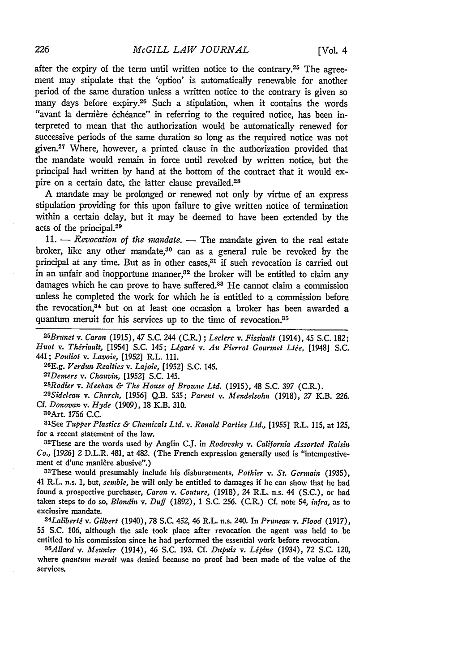after the expiry of the term until written notice to the contrary.<sup>25</sup> The agreement may stipulate that the 'option' is automatically renewable for another period of the same duration unless a written notice to the contrary is given so many days before expiry.<sup>26</sup> Such a stipulation, when it contains the words "avant la dernière échéance" in referring to the required notice, has been interpreted to mean that the authorization would be automatically renewed for successive periods of the same duration so long as the required notice was not given.27 Where, however, a printed clause in the authorization provided that the mandate would remain in force until revoked **by** written notice, but the principal had written by hand at the bottom of the contract that it would expire on a certain date, the latter clause prevailed.<sup>28</sup>

A mandate may be prolonged or renewed not only by virtue of an express stipulation providing for this upon failure to give written notice of termination within a certain delay, but it may be deemed to have been extended by the acts of the principal.<sup>29</sup>

11. — *Revocation of the mandate.* — The mandate given to the real estate broker, like any other mandate, $30$  can as a general rule be revoked by the principal at any time. But as in other cases,<sup>31</sup> if such revocation is carried out in an unfair and inopportune manner,<sup>32</sup> the broker will be entitled to claim any damages which he can prove to have suffered.<sup>33</sup> He cannot claim a commission unless he completed the work for which he is entitled to a commission before the revocation, 34 but on at least one occasion a broker has been awarded a quantum meruit for his services up to the time of revocation.<sup>35</sup>

*25 Brunet v. Caron* (1915), 47 S.C. 244 (C.R.) ; *Leclerc v. Fissiault* (1914), 45 S.C. 182; *Huot v. Thiriault,* [1954] S.C. 145; *Ligarg v. Au Pierrot Gourmet Ltie,* [1948] S.C. 441; *Pouliot v. Lavoie,* [1952] R.L. **111. <sup>26</sup>**

**E.g.** *Verdun Realties v. Lajoie,* [1952] S.C. 145. <sup>2</sup> <sup>7</sup>

Demers *v. Chauvin,* [1952] S.C. 145. <sup>28</sup>

Rodier *v. Meehan & The House* of Brourne *Ltd.* (1915), 48 S.C. 397 (C.R.). *<sup>29</sup>*

*Sideleau v.* Church, [1956] Q.B. 535; *Parent v. Mendelsohn* (1918), 27 K.B. 226. Cf. *Donovan v. Hyde* (1909), 18 K.B. 310.

3OArt. 1756 C.C.

S1See *Tupper Plastics & Chemicals Ltd. v. Ronald Parties Ltd.,* [1955] R.L. 115, at 125, for a recent statement of the law.

<sup>32</sup> These are the words used by Anglin C.J. in *Rodovsky v. California Assorted Raisin Co.,* [1926] 2 D.L.R. 481, at 482. (The French expression generally used is "intempestivement et d'une manière abusive".)<br><sup>33</sup>These would presumably include his disbursements, *Pothier v. St. Germain* (1935),

41 R.L. n.s. 1, but, *semble,* he will only be entitled to damages if he can show that he had found a prospective purchaser, Caron *v. Couture,* (1918), 24 R.L. n.s. 44 (S.C.), or had taken steps to do so, *Blondin v. Duff* (1892), 1 S.C. 256. (C.R.) **Cf.** note 54, *infra,* as to exclusive mandate.

*34 Laliberti v. Gilbert* (1940), 78 **S.C.** 452, 46 R.L. n.s. 240. In *Pruneau v. Flood* (1917), 55 S.C. 106, although the sale took place after revocation the agent was held to be entitled to his commission since he had performed the essential work before revocation.

*35 Allard v. Meunier* (1914), 46 S.C. 193. **Cf.** *Dupuis v. Lipine* (1934), *72* S.C. 120, where *quantum meruit* was denied because no proof had been made of the value of the services.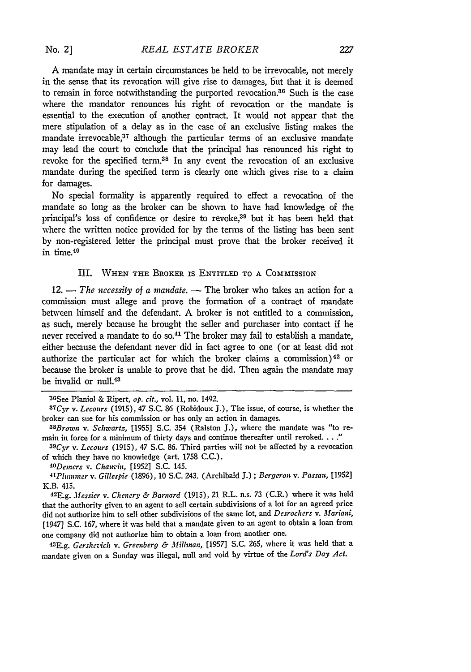A mandate may in certain circumstances be held to be irrevocable, not merely in the sense that its revocation will give rise to damages, but that it is deemed to remain in force notwithstanding the purported revocation.<sup>36</sup> Such is the case where the mandator renounces his right of revocation or the mandate is essential to the execution of another contract. It would not appear that the mere stipulation of a delay as in the case of an exclusive listing makes the mandate irrevocable, $37$  although the particular terms of an exclusive mandate may lead the court to conclude that the principal has renounced his right to revoke for the specified term.38 In any event the revocation of an exclusive mandate during the specified term is clearly one which gives rise to a claim for damages.

No special formality is apparently required to effect a revocation of the mandate so long as the broker can be shown to have had knowledge of the principal's loss of confidence or desire to revoke,<sup>39</sup> but it has been held that where the written notice provided for by the terms of the listing has been sent by non-registered letter the principal must prove that the broker received it in time.<sup>40</sup>

### III. WHEN **THE** BROKER IS ENTITLED TO A COMMISSION

12. - *The necessity of a mandate*. - The broker who takes an action for a commission must allege and prove the formation of a contract of mandate between himself and the defendant. **A** broker is not entitled to a commission, as such, merely because he brought the seller and purchaser into contact if he never received a mandate to do so.<sup>41</sup> The broker may fail to establish a mandate, either because the defendant never did in fact agree to one (or at least did not authorize the particular act for which the broker claims a commission) 42 or because the broker is unable to prove that he did. Then again the mandate may be invalid or null.<sup>43</sup>

of which they have no knowledge (art **1758** C.C.). *<sup>40</sup>*

*Demers v. Chauvin,* [1952] S.C. 145.

*41Plunzzmer v. Gillespie* (1896), 10 S.C. 243. (Archibald J.) ; *Bergeron v. Passau,* [1952] K.B. 415.

42 E.g. *Messier v. Chencry & Barnard* (1915), 21 R.L. n.s. 73 (C.R.) where it was held that the authority given to an agent to sell certain subdivisions of a lot for an agreed price did not authorize him to sell other subdivisions of the same lot, and *Desrochers v. Marianli,* [1947] S.C. 167, where it was held that a mandate given to an agent to obtain a loan from one company did not authorize him to obtain a loan from another one. <sup>43</sup>

E.g. *Gershevich v. Greenberg & Millinan,* [1957] S.C. 265, where it was held that a mandate given on a Sunday was illegal, null and void **by** virtue of the *Lord's Day Act.*

<sup>36</sup>See Planiol & Ripert, *op. cit.,* vol. 11, no. 1492. *<sup>3</sup> 7Cyr* v. *Lecours* (1915), 47 S.C. 86 (Robidoux J.), The issue, of course, is whether the broker can sue for his commission or has only an action in damages. *<sup>3</sup>*

*aBrown v. Schwartz,* [1955] S.C. 354 (Ralston J.), where the mandate was "to remain in force for a minimum of thirty days and continue thereafter until revoked. . . ."<br><sup>39</sup>Cyr v. Lecours (1915), 47 S.C. 86. Third parties will not be affected by a revocation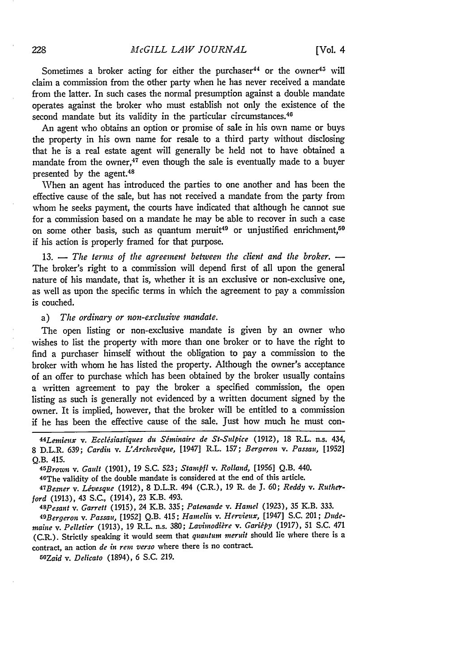Sometimes a broker acting for either the purchaser<sup>44</sup> or the owner<sup>45</sup> will claim a commission from the other party when he has never received a mandate from the latter. In such cases the normal presumption against a double mandate operates against the broker who must establish not only the existence of the second mandate but its validity in the particular circumstances.<sup>46</sup>

An agent who obtains an option or promise of sale in his own name or buys the property in his own name for resale to a third party without disclosing that he is a real estate agent will generally be held not to have obtained a mandate from the owner, $47$  even though the sale is eventually made to a buyer presented by the agent.<sup>48</sup>

When an agent has introduced the parties to one another and has been the effective cause of the sale, but has not received a mandate from the party from whom he seeks payment, the courts have indicated that although he cannot sue for a commission based on a mandate he may be able to recover in such a case on some other basis, such as quantum meruit<sup>49</sup> or unjustified enrichment,<sup>50</sup> if his action is properly framed for that purpose.

13. - *The terms of the agreement between the client and the broker.* -The broker's right to a commission will depend first of all upon the general nature of his mandate, that is, whether it is an exclusive or non-exclusive one, as well as upon the specific terms in which the agreement to pay a commission is couched.

#### a) *The ordinary or non-exchsive mandate.*

The open listing or non-exclusive mandate is given by an owner who wishes to list the property with more than one broker or to have the right to find a purchaser himself without the obligation to pay a commission to the broker with whom he has listed the property. Although the owner's acceptance of an offer to purchase which has been obtained by the broker usually contains a written agreement to pay the broker a specified commission, the open listing as such is generally not evidenced by a written document signed by the owner. It is implied, however, that the broker will be entitled to a commission if he has been the effective cause of the sale. Just how much he must con-

*45Brown v. Gault* (1901), 19 S.C. **523;** *Stampfl v. Rolland,* [1956] Q.B. 440.

46The validity of the double mandate is considered at the end of this article.

*47 Besner v. Livesque* (1912), 8 D.L.R. 494 (C.R.), 19 R. de J. 60; *Reddy v. Rutherford* (1913), 43 S.C., (1914), 23 K.B. 493.

*48 Pesant v. Garrett* (1915), 24 K.B. **335;** *Patenaude v. Hamel* (1923), **35** K.B. **333.** *49 Bergeron v. Passau,* [1952] Q.B. 415; *Hamelin v. Hervieux,* [1947] S.C. 201; *Dudenaine v. Pelletier* (1913), 19 R.L. n.s. 380; *Lavbnodikre v. Garbpy* (1917), 51 S.C. 471 (C.R.). Strictly speaking it would seem that *quantum meruit* should lie where there is a contract, an action *de in rem verso* where there is no contract.

5OZaid v. *Delicato* (1894), 6 S.C. 219.

*<sup>44</sup> Lemieux v. Ecclsiastiques du Siminaire de St-Sulpice* (1912), 18 R.L. n.s. 434, 8 D.L.R. 639; *Cardin v. L'Archevque,* [1947] R.L. 157; *Bergeron v. Passau,* [1952] Q.B. 415.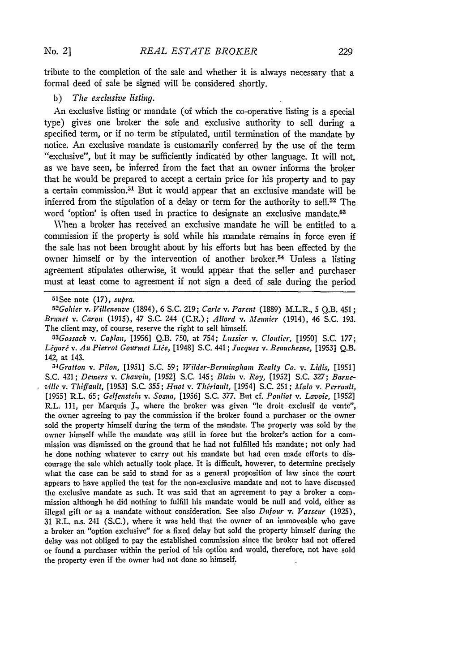formal deed of sale be signed will be considered shortly.

**b)** *The exclusive listing.*

An exclusive listing or mandate (of which the co-operative listing is a special type) gives one broker the sole and exclusive authority to sell during a specified term, or if no term be stipulated, until termination of the mandate **by** notice. An exclusive mandate is customarily conferred **by** the use of the term "exclusive", but it may be sufficiently indicated **by** other language. It will not, as we have seen, be inferred from the fact that an owner informs the broker that he would be prepared to accept a certain price for his property and to pay a certain commission.<sup>51</sup> But it would appear that an exclusive mandate will be inferred from the stipulation of a delay or term for the authority to sell.<sup>52</sup> The word 'option' is often used in practice to designate an exclusive mandate.<sup>53</sup>

When a broker has received an exclusive mandate he will be entitled to a commission if the property is sold while his mandate remains in force even if the sale has not been brought about **by** his efforts but has been effected **by** the owner himself or **by** the intervention of another broker.54 Unless a listing agreement stipulates otherwise, it would appear that the seller and purchaser must at least come to agreement if not sign a deed of sale during the period

*53 Gossack v. Caplan,* **[1956] Q.B. 750,** at 754; *Lussier v. Cloutier,* **[1950] S.C. 177;** *L gar v. Au Pierrot Gourmet Lte,* [1948] **S.C.** 441; *Jacques v. Beauchesne,* **[1953] Q.B.** 142, at 143.

*54 Gratton v. Pilon,* **[1951] S.C. 59;** *Wilder-Berminghain Realty Co. v. Lidis,* **[1951] S.C.** 421; *Demers v. Chauvin,* **[1952] S.C.** 145; *Blain v. Roy,* **[1952] S.C. 327;** *Barne- ,ille v. Thiffault,* **[1953] S.C. 355;** *Huot v. Thriault,* [1954] **S.C. 251;** *Malo v. Perrault,* **[1955]** R.L. **65;** *Gelfenstebt v. Sosna,* **[1956] S.C.** *377.* But cf. *Pouliot v. Lavoie,* **[1952]** R.L. **111,** per Marquis **J.,** where the broker was given "le droit exclusif de vente", the owner agreeing to pay the commission if the broker found a purchaser or the owner sold the property himself during the term of the mandate. The property was sold **by** the owner himself while the mandate was still in force but the broker's action for a commission **was** dismissed on the ground that he had not fulfilled his mandate; not only had he done nothing whatever to carry out his mandate but had even made efforts to discourage the sale which actually took place. It is difficult, however, to determine precisely what the case can be said to stand for as a general proposition of law since the **court** appears to have applied the test for the non-exclusive mandate and not to have discussed the exclusive mandate as such. It was said that an agreement to pay a broker a commission although he did nothing to fulfill his mandate would be null and void, either as illegal gift or as a mandate without consideration. See also *Dufour v. Vasseur* **(1925), 31** R.L. n.s. 241 **(S.C.),** where it was held that the owner of an immoveable who gave a broker an "option exclusive" for a fixed delay but sold the property himself during the delay was not obliged to pay the established commission since the broker had not offered or found a purchaser within the period of his option and would, therefore, not have sold the property even if the owner had not done so himself.

**<sup>51</sup> See** note **(17),** *supra. <sup>52</sup>*

*Gohier v. Villeneuve* (1894), **6 S.C. 219;** *Carle v. Parent* **(1889)** M.L.R., **5 Q.B.** 451; *Brunet v. Caron* **(1915),** 47 **S.C.** 244 (C.R.) *; Allard v. Meunier* (1914), 46 **S.C. 193.** The client may, of course, reserve the right to sell himself.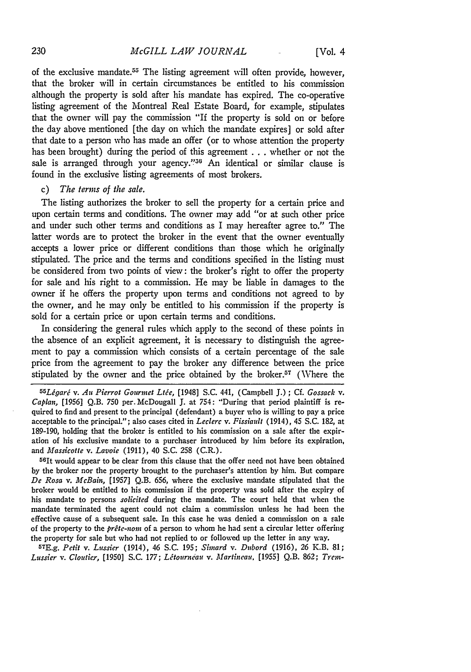of the exclusive mandate.<sup>55</sup> The listing agreement will often provide, however, that the broker will in certain circumstances be entitled to his commission although the property is sold after his mandate has expired. The co-operative listing agreement of the Montreal Real Estate Board, for example, stipulates that the owner will pay the commission "If the property is sold on or before the day above mentioned [the day on which the mandate expires] or sold after that date to a person who has made an offer (or to whose attention the property has been brought) during the period of this agreement . . . whether or not the sale is arranged through your agency."<sup>36</sup> An identical or similar clause is found in the exclusive listing agreements of most brokers.

## c) *The terms of the sale.*

The listing authorizes the broker to sell the property for a certain price and upon certain terms and conditions. The owner may add "or at such other price and under such other terms and conditions as I may hereafter agree to." The latter words are to protect the broker in the event that the owner eventually accepts a lower price or different conditions than those which he originally stipulated. The price and the terms and conditions specified in the listing must be considered from two points of view: the broker's right to offer the property for sale and his right to a commission. He may be liable in damages to the owner if he offers the property upon terms and conditions not agreed to **by** the owner, and he may only be entitled to his commission if the property is sold for a certain price or upon certain terms and conditions.

In considering the general rules which apply to the second of these points in the absence of an explicit agreement, it is necessary to distinguish the agreement to pay a commission which consists of a certain percentage of the sale price from the agreement to pay the broker any difference between the price stipulated **by** the owner and the price obtained **by** the broker.5 (Where the

55 Légaré v. Au Pierrot Gourmet Ltée, [1948] S.C. 441, (Campbell J.); Cf. Gossack v. *Caplan,* [1956] **Q.B.** 750 per. McDougall **J.** at 754: "During that period plaintiff is required to find and present to the principal (defendant) a buyer who is willing to pay a price acceptable to the principal."; also cases cited in *Leclerc v. Fissiadult* (1914), 45 **S.C.** 182, at 189-190, holding that the broker is entitled to his commission on a sale after the expiration **of** his exclusive mandate to a purchaser introduced **by** him before its expiration, and *Massicotte v. Lavoie* (1911), 40 S.C. 258 (C.R.).

 $56$ It would appear to be clear from this clause that the offer need not have been obtained **by** the broker nor the property brought to the purchaser's attention **by** him. But compare *De Rosa v. McBain,* **[1957]** Q.B. 656, where the exclusive mandate stipulated that the broker would be entitled to his commission if the property was sold after the expiry of his mandate to persons *solicited* during the mandate. The court held that when the mandate terminated the agent could not claim a commission unless he had been the effective cause of a subsequent sale. In this case he was denied a commission on a sale of the property to the *prite-nora* of a person to whom he had sent a circular letter offering the property for sale but who had not replied to or followed up the letter in any way.

E.g. *Petit v. Lussier* (1914), 46 S.C. 195; *Simard v. Dubord* (1916), 26 K.B. **81;** *Lussier v. Cloutier,* [1950] **S.C.** 177; *Ltourndau v. Martineau.* [1955] **Q.B.** 862; *Trent-*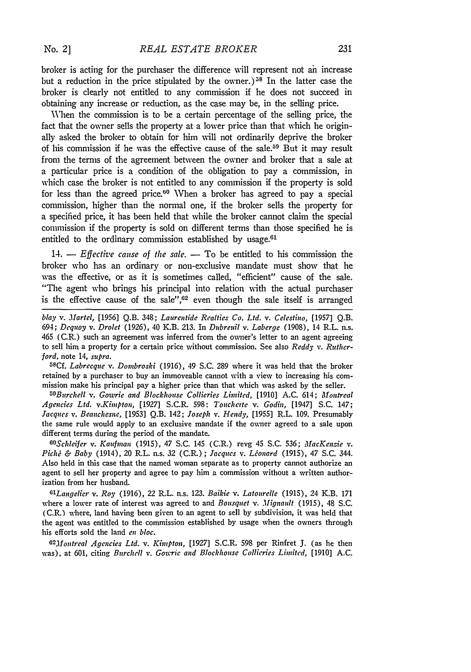broker is acting for the purchaser the difference will represent not ah increase but a reduction in the price stipulated by the owner.)<sup>58</sup> In the latter case the broker is clearly not entitled to any commission if he does not succeed in obtaining any increase or reduction, as the case may be, in the selling price.

When the commission is to be a certain percentage of the selling price, the fact that the owner sells the property at a lower price than that which he originally asked the broker to obtain for him will not ordinarily deprive the broker of his commission if he was the effective cause of the sale.59 But it may result from the terms of the agreement between the owner and broker that a sale at a particular price is a condition of the obligation to pay a commission, in which case the broker is not entitled to any commission if the property is sold for less than the agreed price.<sup>60</sup> When a broker has agreed to pay a special commission, higher than the normal one, if the broker sells the property for a specified price, it has been held that while the broker cannot claim the special commission if the property is sold on different terms than those specified he is entitled to the ordinary commission established by usage.<sup>61</sup>

14. - *Effective cause of the sale*. - To be entitled to his commission the broker who has an ordinary or non-exclusive mandate must show that he was the effective, or as it is sometimes called, "efficient" cause of the sale. "The agent who brings his principal into relation with the actual purchaser is the effective cause of the sale",<sup>62</sup> even though the sale itself is arranged

*blay v. Martel,* [1956] **Q.B.** 348; *Laurentide Realties Co. Ltd. v. Celestino,* [1957] Q.B. *694; Dequoy v. Drolet* (1926), 40 K.B. 213. In *Dubrenil v. Laberge* (1908), 14 R.L. n.s. 465 (C.R.) such an agreement was inferred from the owner's letter to an agent agreeing to sell him a property for a certain price without commission, See also *Reddy v. Rutherford,* note 14, *supra.*

*58 Cf. Labrecque v. Dombroski* (1916), 49 S.C. 289 where it was held that the broker retained by a purchaser to buy an immoveable cannot with a view to increasing his commission make his principal pay a higher price than that which was asked by the seller.

*59 Burchell v. Gowtrie and Blockhouse Collieries Limited,* [1910] **A.C.** 614; *Montreal Agencies Ltd. v.Kinpton,* [1927] S.C.R. 598: *Toucherte v. Godin,* [1947] S.C. 147; *Jacques v. Beauchesne,* [1953] QB. 142; *Joseph v. Hendy,* [1955] R.L. 109. Presumably the same rule would apply to an exclusive mandate if the owner agreed to a sale upon different terms during the period of the mandate.

*GOSchleifer v. Kaufman* (1915), 47 S.C. 145 (C.R.) revg 45 S.C. 536; *MacKenzie v. Piché & Baby* (1914), 20 R.L. n.s. 32 (C.R.); *Jacques v. Léonard* (1915), 47 S.C. 344. Also held in this case that the named woman separate as to property cannot authorize an agent to sell her property and agree to pay him a commission without a written authorization from her husband.

*61 Laugelier v. Roy* (1916), 22 R.L. n.s. 123. *Baikie v. Latourelle* (1915), 24 K.B. 171 where a lower rate of interest was agreed to and *Bousquet v. Mignault* (1915), 48 S.C. (C.R.) where, land having been given to an agent to sell by subdivision, it was held that the agent was entitled to the commission established by usage when the owners through his efforts sold the land *en bloc.*

*<sup>62</sup> M1ontreal Agencies Ltd. v. Kimpton, [1927]* S.C.R. **598** per Rinfret J. (as he then was), at 601, citing *Burchell v. Gowric and Blockhouse Collieries Limitcd,* [1910] A.C.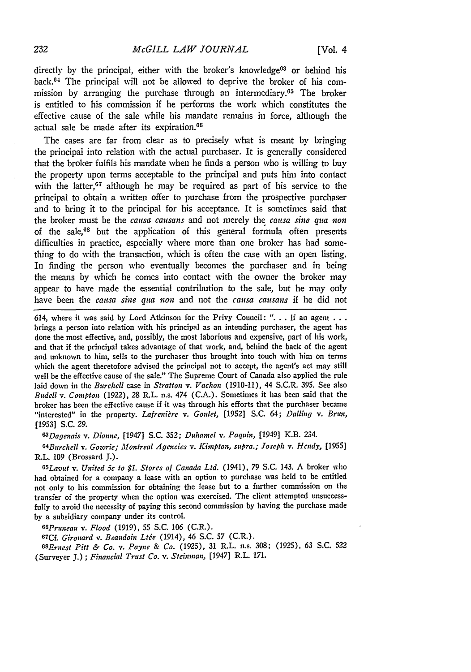directly by the principal, either with the broker's knowledge<sup>63</sup> or behind his back. $64$  The principal will not be allowed to deprive the broker of his commission by arranging the purchase through an intermediary.<sup>65</sup> The broker is entitled to his commission if he performs the work which constitutes the effective cause of the sale while his mandate remains in force, although the actual sale be made after its expiration.<sup>66</sup>

The cases are far from clear as to precisely what is meant by bringing the principal into relation with the actual purchaser. It is generally considered that the broker fulfils his mandate when he finds a person who is willing to buy the property upon terms acceptable to the principal and puts him into contact with the latter, $67$  although he may be required as part of his service to the principal to obtain a written offer to purchase from the prospective purchaser and to bring it to the principal for his acceptance. It is sometimes said that the broker must be the *causa* causans and not merely the *causa sine qua non* of the sale, $68$  but the application of this general formula often presents difficulties in practice, especially where more than one broker has had something to do with the transaction, which is often the case with an open listing. In finding the person who eventually becomes the purchaser and in being the means **by** which he comes into contact with the owner the broker may appear to have made the essential contribution to the sale, but **he** may only have been the *causa sine qua non* and not the *causa causans* if he did not

614, where it was said **by** Lord Atkinson for the Privy Council: **". . .** if an agent **. . .** brings a person into relation with his principal as an intending purchaser, the agent has done the most effective, and, possibly, the most laborious and expensive, part of his work, and that if the principal takes advantage of that work, and, behind the back of the agent and unknown to him, sells to the purchaser thus brought into touch with him on terms which the agent theretofore advised the principal not to accept, the agent's act may still well be the effective cause of the sale." The Supreme Court of Canada also applied the rule laid down in the *Burchell* case in *Stratton v. Vachon* (1910-11), 44 S.C.R. 395. See also *Budell v. Compton* (1922), 28 R.L. n.s. 474 (C.A.). Sometimes it has been said that the broker has been the effective cause if it was through his efforts that the purchaser became "interested" in the property. Lafrenière v. Goulet, [1952] S.C. 64; Dalling v. Brun, [19531 **S.C. 29.**

*63 Dagenais v. Dionne,* [1947] S.C. 352; *Duharnel v. Paquin,* [1949] K.B. 234.

*64 Burchell v. Gowrie; Montreal Agencies v. Kimpton, supra.; Joseph v. Hcndy,* [1955] R.L. 109 (Brossard J.).

*65 Lavut v. United 5c to \$1. Stores of Canada Ltd.* (1941), 79 S.C. 143. A broker who had obtained for a company a lease with an option to purchase was held to be entitled not only to his commission for obtaining the lease but to a further commission on the transfer of the property when the option was exercised. The client attempted unsuccessfully to avoid the necessity of paying this second commission by having the purchase made by a subsidiary company under its control.

*66Pruneau v. Flood* (1919), 55 S.C. 106 (C.R.).

67Cf. *Girouard v. Beaudoin Ltée* (1914), 46 S.C. 57 (C.R.).

*68 Ernest Pitt & Co. v. Payne & Co.* (1925), 31 R.L. n.s. 308; (1925), **63** S.C. **<sup>522</sup>** (Surveyer **J.)** ; *Financial Trust Co. v. Steinmian,* [1947] R.L. 171.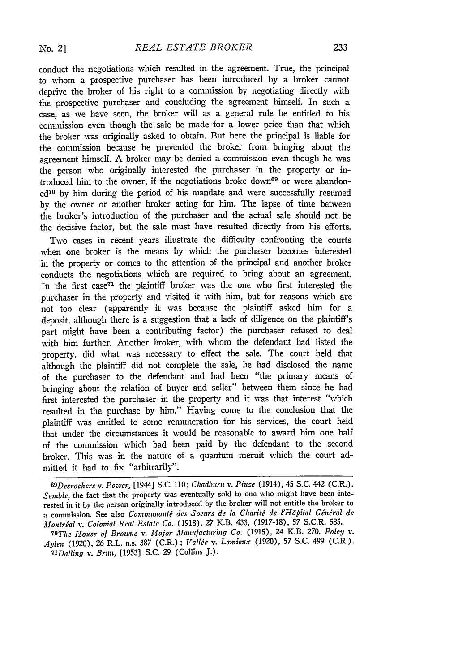conduct the negotiations which resulted in the agreement. True, the principal to whom a prospective purchaser has been introduced by a broker cannot deprive the broker of his right to a commission by negotiating directly with the prospective purchaser and concluding the agreement himself. In such a case, as we have seen, the broker will as a general rule be entitled to his commission even though the sale be made for a lower price than that which the broker was originally asked to obtain. But here the principal is liable for the commission because he prevented the broker from bringing about the agreement himself. A broker may be denied a commission even though he was the person who originally interested the purchaser in the property or introduced him to the owner, if the negotiations broke down<sup>69</sup> or were abandon $ed^{70}$  by him during the period of his mandate and were successfully resumed by the owner or another broker acting for him. The lapse of time between the broker's introduction of the purchaser and the actual sale should not be the decisive factor, but the sale must have resulted directly from his efforts.

Two cases in recent years illustrate the difficulty confronting the courts when one broker is the means by which the purchaser becomes interested in the property or comes to the attention of the principal and another broker conducts the negotiations which are required to bring about an agreement. In the first case<sup> $71$ </sup> the plaintiff broker was the one who first interested the purchaser in the property and visited it with him, but for reasons which are not too clear (apparently it was because the plaintiff asked him for a deposit, although there is a suggestion that a lack of diligence on the plaintiff's part might have been a contributing factor) the purchaser refused to deal with him further. Another broker, with whom the defendant had listed the property, did what was necessary to effect the sale. The court held that although the plaintiff did not complete the sale, he had disclosed the name of the purchaser to the defendant and had been "the primary means of bringing about the relation of buyer and seller" between them since he had first interested the purchaser in the property and it was that interest "which resulted in the purchase by him." Having come to the conclusion that the plaintiff was entitled to some remuneration for his services, the court held that under the circumstances it would be reasonable to award him one half of the commission which had been paid by the defendant to the second broker. This was in the nature of a quantum meruit which the court admitted it had to fix "arbitrarily".

*<sup>69</sup> Desrochers v. Power,* [1944] S.C. 110; *Chadburn v. Piufe* (1914), 45 S.C. 442 (C.R.). *Semble,* the fact that the property was eventually sold to one who might have been interested in it by the person originally introduced by the broker will not entitle the broker to a commission. See also *Communauté des Soeurs de la Charité de l'Hôpital Général de Montrial v. Colonial Real Estate Co.* **(1918), 27** K.B. 433, **(1917-18), 57** S.C.R. **585.**

*<sup>70</sup>The House of Browne v. Major Manufacturing Co.* (1915), 24 K.B. 270. *Foley v. Aylcn* (1920), 26 R.L. n.s. 387 (C.R.) ; *Vallie v. Lemieux* (1920), **57** S.C. 499 (C.R.). *71 Dalling v. Brun,* [1953] S.C. 29 (Collins J.).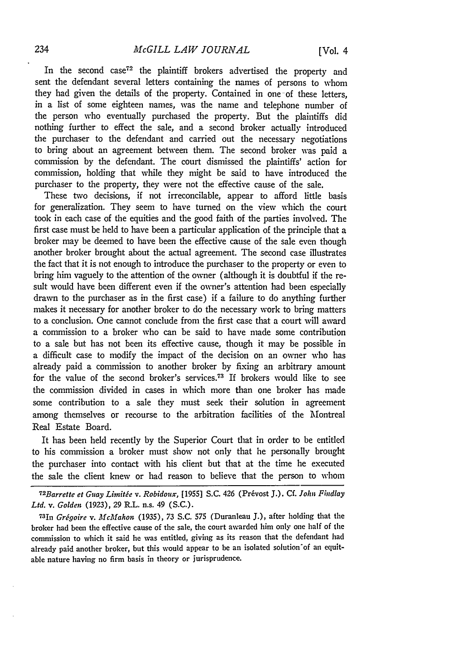In the second case<sup>72</sup> the plaintiff brokers advertised the property and sent the defendant several letters containing the names of persons to whom they had given the details of the property. Contained in one-of these letters, in a list of some eighteen names, was the name and telephone number of the person who eventually purchased the property. But the plaintiffs did nothing further to effect the sale, and a second broker actually introduced the purchaser to the defendant and carried out the necessary negotiations to bring about an agreement between them. The second broker was paid a commission by the defendant. The court dismissed the plaintiffs' action for commission, holding that while they might be said to have introduced the purchaser to the property, they were not the effective cause of the sale.

These tvo decisions, if not irreconcilable, appear to afford little basis for generalization. They seem to have turned on the view which the court took in each case of the equities and the good faith of the parties involved. The first case must be held to have been a particular application of the principle that a broker may be deemed to have been the effective cause of the sale even though another broker brought about the actual agreement. The second case illustrates the fact that it is not enough to introduce the purchaser to the property or even to bring him vaguely to the attention of the owner (although it is doubtful if the result would have been different even if the owner's attention had been especially drawn to the purchaser as in the first case) if a failure to do anything further makes it necessary for another broker to do the necessary work to bring matters to a conclusion. One cannot conclude from the first case that a court will award a commission to a broker who can be said to have made some contribution to a sale but has not been its effective cause, though it may be possible in a difficult case to modify the impact of the decision on an owner who has already paid a commission to another broker by fixing an arbitrary amount for the value of the second broker's services.<sup>73</sup> If brokers would like to see the commission divided in cases in which more than one broker has made some contribution to a sale they must seek their solution in agreement among themselves or recourse to the arbitration facilities of the Montreal Real Estate Board.

It has been held recently by the Superior Court that in order to be entitled to his commission a broker must show not only that he personally brought the purchaser into contact with his client but that at the time he executed the sale the client knew or had reason to believe that the person to whom

*7 2 Barrette et Guay Limitge v. Robidoux,* **[1955] S.C.** 426 (Pr~vost **J.).** *Cf. John Findlay Ltd. v. Golden* (1923), 29 R.L. n.s. 49 (S.C.).

73In *Grigoire v. McMahon* (1935), 73 S.C. **575** (Duranleau J.), after holding that the broker had been the effective cause of the sale, the court awarded him only one half of the commission to which it said he was entitled, giving as its reason that the defendant had already paid another broker, but this would appear to be an isolated solution of an equitable nature having no firm basis in theory or jurisprudence.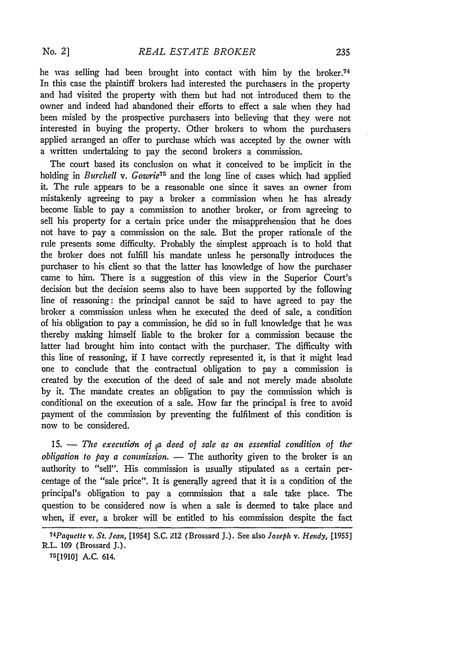he was selling had been brought into contact with him by the broker.<sup>74</sup> In this case the plaintiff brokers had interested the purchasers in the property and had visited the property with them but had not introduced them to the owner and indeed had abandoned their efforts to effect a sale when they had been misled by the prospective purchasers into believing that they were not interested in buying the property. Other brokers to whom the purchasers applied arranged an offer to purchase which was accepted by the owner with a written undertaking to pay the second brokers a commission.

The court based its conclusion on what it conceived to be implicit in the holding in *Burchell v. Gowrie75* and the long line of cases which had applied it. The rule appears to be a reasonable one since it saves an owner from mistakenly agreeing to pay a broker a commission when he has already become liable to pay a commission to another broker, or from agreeing to sell his property for a certain price under the misapprehension that he does not have to pay a commission on the sale. But the proper rationale of the rule presents some difficulty. Probably the simplest approach is to hold that the broker does not fulfill his mandate unless he personally introduces the purchaser to his client so that the latter has knowledge of how the purchaser came to him. There is a suggestion of this view in the Superior Court's decision but the decision seems also to have been supported by the following line of reasoning: the principal cannot be said to have agreed to pay the broker a commission unless when he executed the deed of sale, a condition of his obligation to pay a commission, he did so in full knowledge that he was thereby making himself liable to the broker for a commission because the latter had brought him into contact with the purchaser. The difficulty with this line of reasoning, if I have correctly represented it, is that it might lead one to conclude that the contractual obligation to pay a commission is created by the execution of the deed of sale and not merely made absolute by it. The mandate creates an obligation to pay the commission which is conditional on the execution of a sale. How far the principal is free to avoid payment of the commission by preventing the fulfilment of this condition is now to be considered.

15.  $-$  *The execution of*  $\mu$  *deed of sale as an essential condition of the obligation to pay a commission.* - The authority given to the broker is an authority to "sell". His commission is usually stipulated as a certain percentage of the "sale price". It is generally agreed that it is a condition of the principal's obligation to pay a commission that a sale take place. The question to be considered now is when a sale is deemed to take place and when, if ever, a broker will be entitled to his commission despite the fact

*<sup>74</sup>Paquette v. St. Jean,* [1954] **S.C.** 212 (Brossard **J.).** See also *Joseph v. Hpndy,* [1955] R.L. 109 (Brossard J.).

**<sup>75[1910]</sup>** A.C. 614.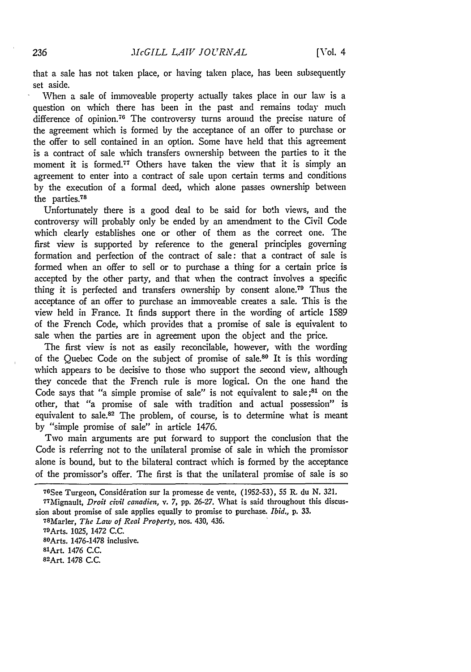that a sale has not taken place, or having taken place, has been subsequently set aside.

When a sale of immoveable property actually takes place in our law is a question on which there has been in the past and remains today much difference of opinion.<sup>76</sup> The controversy turns around the precise nature of the agreement which is formed by the acceptance of an offer to purchase or the offer to sell contained in an option. Some have held that this agreement is a contract of sale which transfers ownership between the parties to it the moment it is formed.<sup>77</sup> Others have taken the view that it is simply an agreement to enter into a contract of sale upon certain terms and conditions by the execution of a formal deed, which alone passes ownership between the parties.78

Unfortunately there is a good deal to be said for both views, and the controversy will probably only be ended by an amendment to the Civil Code which clearly establishes one or other of them as the correct one. The first view is supported by reference to the general principles governing formation and perfection of the contract of sale: that a contract of sale is formed when an offer to sell or to purchase a thing for a certain price is accepted **by** the other party, and that when the contract involves a specific thing it is perfected and transfers ownership by consent alone.<sup>79</sup> Thus the acceptance of an offer to purchase an immoveable creates a sale. This is the view held in France. It finds support there in the wording of article 1589 of the French Code, which provides that a promise of sale is equivalent to sale when the parties are in agreement upon the object and the price.

The first view is not as easily reconcilable, however, with the wording of the Quebec Code on the subject of promise of sale.80 It is this wording which appears to be decisive to those who support the second view, although they concede that the French rule is more logical. On the one hand the Code says that "a simple promise of sale" is not equivalent to sale;<sup>81</sup> on the other, that "a promise of sale with tradition and actual possession" is equivalent to sale.82 The problem, of course, is to determine what is meant **by** "simple promise of sale" in article 1476.

Two main arguments are put forward to support the conclusion that the Code is referring not to the unilateral promise of sale in which the promissor alone is bound, but to the bilateral contract which is formed **by** the acceptance of the promissor's offer. The first is that the unilateral promise of sale is so

82 Art. 1478 C.C.

<sup>&</sup>lt;sup>76</sup>See Turgeon, Considération sur la promesse de vente, (1952-53), 55 R. du N. 321.

<sup>77</sup>Mignault, *Droit civil canadien,* v. 7, **pp.** *26-27.* What is said throughout this discussion about promise of sale applies equally to promise to purchase. *Ibid.*, p. 33.

Marler, *The Law of Real Property,* nos. 430, 436.

<sup>79</sup>Arts. 1025, 1472 C.C.

SOArts. 1476-1478 inclusive.

<sup>8</sup>lArt. 1476 C.C.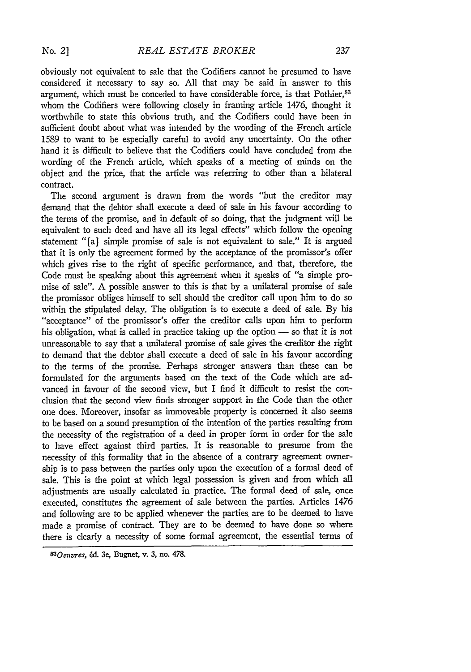obviously not equivalent to sale that the Codifiers cannot be presumed to have considered it necessary to say so. All that may be said in answer to this argument, which must be conceded to have considerable force, is that Pothier, <sup>83</sup> whom the Codifiers were following closely in framing article 1476, thought it worthwhile to state this obvious truth, and the Codifiers could have been in sufficient doubt about what was intended by the wording of the French article 1589 to want to be especially careful to avoid any uncertainty. On the other hand it is difficult to believe that the Codifiers could have concluded from the wording of the French article, which speaks of a meeting of minds on the object and the price, that the article was referring to other than a bilateral contract.

The second argument is drawn from the words "but the creditor may demand that the debtor shall execute a deed of sale in his favour according to the terms of the promise, and in default of so doing, that the judgment will be equivalent to such deed and have all its legal effects" which follow the opening statement "[a] simple promise of sale is not equivalent to sale." It is argued that it is only the agreement formed by the acceptance of the promissor's offer which gives rise to the right of specific performance, and that, therefore, the Code must be speaking about this agreement when it speaks of "a simple promise of sale". A possible answer to this is that by a unilateral promise of sale the promissor obliges himself to sell should the creditor call upon him to do so within the stipulated delay. The obligation is to execute a deed of sale. By his "acceptance" of the promissor's offer the creditor calls upon him to perform his obligation, what is called in practice taking up the option  $-$  so that it is not unreasonable to say that a unilateral promise of sale gives the creditor the right to demand that the debtor shall execute a deed of sale in his favour according to the terms of the promise. Perhaps stronger answers than these can be formulated for the arguments based on the text of the Code which are advanced in favour of the second view, but I find it difficult to resist the conclusion that the second view finds stronger support in the Code than the other one does. Moreover, insofar as immoveable property is concerned it also seems to be based on a sound presumption of the intention of the parties resulting from the necessity of the registration of a deed in proper form in order for the sale to have effect against third parties. It is reasonable to presume from the necessity of this formality that in the absence of a contrary agreement ownership is to pass between the parties only upon the execution of a formal deed of sale. This is the point at which legal possession is given and from which all adjustments are usually calculated in practice. The formal deed of sale, once executed, constitutes the agreement of sale between the parties. Articles 1476 and following are to be applied whenever the parties are to be deemed to have made a promise of contract. They are to be deemed to have done so where there is clearly a necessity of some formal agreement, the essential terms of

*<sup>8</sup> <sup>3</sup> 0eures,* **6d. 3e,** Bugnet, **v. 3,** no. **478.**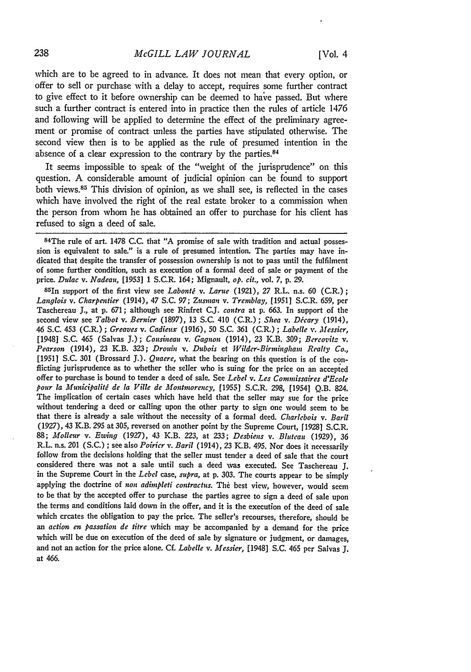which are to be agreed to in advance. It does not mean that every option, or offer to sell or purchase with a delay to accept, requires some further contract to give effect to it before ownership can be deemed to have passed. But where such a further contract is entered into in practice then the rules of article 1476 and following will be applied to determine the effect of the preliminary agreement or promise of contract unless the parties have stipulated otherwise. The second view then is to be applied as the rule of presumed intention in the absence of a clear expression to the contrary by the parties.<sup>84</sup>

It seems impossible to speak of the "weight of the jurisprudence" on this question. A considerable amount of judicial opinion can be found to support both views.<sup>85</sup> This division of opinion, as we shall see, is reflected in the cases which have involved the right of the real estate broker to a commission when the person from whom he has obtained an offer to purchase for his client has refused to sign a deed of sale.

84The rule of art. 1478 C.C. that "A promise of sale with tradition and actual possession is equivalent to sale." is a rule of presumed intention. The parties may have indicated that despite the transfer of possession ownership is not to pass until the fulfilment of some further condition, such as execution of a formal deed of sale or payment of the price. *Dulac v. Nadeau,* [1953] 1 S.C.R. 164; Mignault, *op. cit.,* vol. 7, p. 29.

85In support of the first view see *Labonti v. Larue* (1921), *27* R.L. n.s. 60 (C.R.); *Langlois v. Charpentier* (1914), 47 S.C. 97; *Zusman v. Tremblay,* [1951] S.C.R. 659, per Taschereau J., at p. 671; although see Rinfret C.J. *contra* at p. 663. In support of the second view see *Talbot v. Bernier* (1897), 13 S.C. 410 (C.R.); *Shea v. Décary* (1914), 46 S.C. 453 (C.R.) ; *Greaves v. Cadieux* (1916), 50 S.C. 361 (C.R.) ; *Labelle v. Messier,* [1948] S.C. 465 (Salvas J.); *Cousineau v. Gagnon* (1914), 23 K.B. 309; *Bercovitz v. Pearson* (1914), 23 K.B. 323; *Drouin v. Dubois* et *Wilder-Birminghain Realty Co.,* [1951] S.C. 301 (Brossard *J.). Quacre,* what the bearing on this question is of the conflicting jurisprudence as to whether the seller who is suing for the price on an accepted offer to purchase is bound to tender a deed of sale. See *Lebel v. Les Commissaires d'Ecole pour la Municipalitg de la Ville de Montmorency,* [1955] S.C.R. 298, [1954] Q.B. 824. The implication of certain cases which have held that the seller may sue for the price without tendering a deed or calling upon the other party to sign one would seem to be that there is already a sale without the necessity of a formal deed. *Charlebois v. Baril* (1927), 43 K.B. 295 at 305, reversed on another point by the Supreme Court, **f** 1928] S.C.R. *88; Molleur v. Ewing (1927),* 43 K.B. 223, at 233; *Desbiens v. Bluteau* (1929), 36 R.L. n.s. 201 (S.C.) ; see also *Poirier v. Baril* (1914), 23 K.B. 495. Nor does it necessarily follow from the decisions holding that the seller must tender a deed of sale that the court considered there was not a sale until such a deed was executed. See Taschereau *J.* in the Supreme Court in the *Lebel* case, *supra,* at p. 303. The courts appear to be simply applying the doctrine of non adimpleti contractus. The best view, however, would seem to be that by the accepted offer to purchase the parties agree to sign a deed of sale upon the terms and conditions laid down in the offer, and it is the execution of the deed of sale which creates the obligation to pay the price. The seller's recourses, therefore, should be *an action en passation de litre* which may be accompanied by a demand for the price which will be due on execution of the deed of sale by signature or judgment, or damages, and not an action for the price alone. Cf. *Labelle v. Messier,* [1948] S.C. 465 per Salvas **J.** at 466.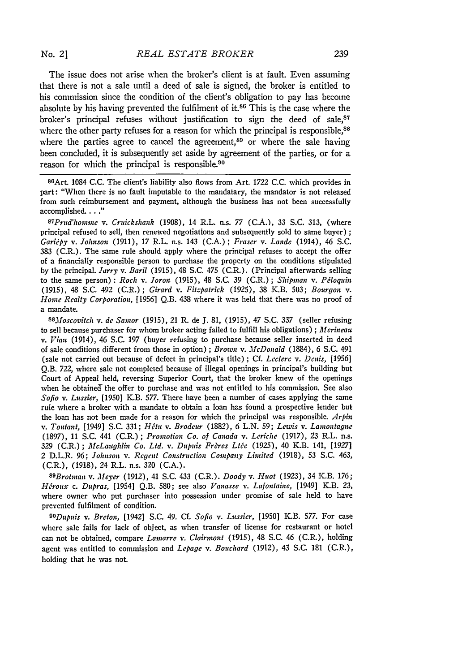The issue does not arise when the broker's client is at fault. Even assuming that there is not a sale until a deed of sale is signed, the broker is entitled to his commission since the condition of the client's obligation to pay has become absolute by his having prevented the fulfilment of it. $86$  This is the case where the broker's principal refuses without justification to sign the deed of sale, $87$ where the other party refuses for a reason for which the principal is responsible,<sup>88</sup> where the parties agree to cancel the agreement, $89$  or where the sale having been concluded, it is subsequently set aside by agreement of the parties, or for a reason for which the principal is responsible.<sup>90</sup>

86 Art. 1084 **C.C.** The client's liability also flows from Art. **1722** C.C. which provides in part: "When there is no fault imputable to the mandatary, the mandator is not released from such reimbursement and payment, although the business has not been successfully accomplished. **.. "** *<sup>87</sup>*

*Prud'homme v. Cruickshank* (1908), 14 R.L. n.s. 77 (C.A.), 33 **S.C.** 313, (where principal refused to sell, then renewed negotiations and subsequently sold to same buyer) **;** *Garijpy v. Johnson* (1911), 17 R.L. n.s. 143 (C.A.) *' Fraser v. Lande* (1914), 46 S.C. **383** (C.R.). The same rule should apply where the principal refuses to accept the offer of a financially responsible person to purchase the property on the conditions stipulated by the principal. *Jarry v. Baril* (1915), 48 S.C. 475 (C.R.). (Principal afterwards selling to the same person) **:** *Roch v. Joron* (1915), 48 S.C. 39 (C.R.) ; *Shipman v. Pdloquin* (1915), 48 S.C. 492 (C.R.); *Girard v. Fitzpatrick* (1925), 38 K.B. 503; *Bourgon v. Home Realty Corporation,* [1956] Q.B. 438 where it was held that there was no proof of a mandate.

*<sup>88</sup> foscovitch v. de Samor* (1915), 21 R. de **J.** 81, (1915), 47 S.C. 337 (seller refusing to sell because purchaser for whom broker acting failed to fulfill his obligations) ; *Aferineau v. Viau* (1914), 46 S.C. 197 (buyer refusing to purchase because seller inserted in deed of sale conditions different from those in option) ; *Brown v. McDonald* (1884), 6 S.C. 491 (sale not carried out because of defect in principal's title) ; Cf. *Leclerc v. Denis,* [1956] Q.B. *722,* where sale not completed because of illegal openings in principal's building but Court of Appeal held, reversing Superior Court, that the broker knew of the openings when he obtained the offer to purchase and was not entitled to his commission. See also *Sofio v. Lussier,* [1950] K.B. 577. There have been a number of cases applying the same rule where a broker with a mandate to obtain a loan has found a prospective lender but the loan has not been made for a reason for which the principal was responsible. *Arpin v. Tontant,* [1949] S.C. 331; *Ht v. Brodeur* (1882), 6 L.N. **59;** *Lewis* v. *Lamontagne* (1897), 11 S.C. 441 (C.R.) ; *Promotion Co. of Canada v. Leriche* (1917), *23* R.L. n.s. 329 (C.R.); *McLaughlin Co. Ltd. v. Dupuis Frères Ltée* (1925), 40 K.B. 141, [1927] 2 D.L.R. 96; *Johnson v. Regent Construction Company Limited* (1918), **53** S.C. 463, (C.R.), (1918), 24 R.L. n.s. 320 (C.A.).

*89Brotmnan v. Meyer* (1912), 41 S.C. 433 (C.R.). *Doody v. Huot* (1923), 34 KB. 176; *H5roux c. Dupras,* [1954] Q.B. 580; see also *Vanasse v. Lafontaine,* [1949] K.B. 23, where owner who put purchaser into possession under promise of sale held to have prevented fulfilment of condition.

*OODpuis v. Breton,* [1942] S.C. 49. Cf. *Sofia v. Lussier,* [1950] K.B. 577. For case where sale fails for lack of object, as when transfer of license for restaurant or hotel can not be obtained, compare *Lamarre v. Clairmont* (1915), 48 S.C. 46 (C.R.), holding agent was entitled to commission and *Lepage v. Bouchard* (1912), 43 S.C. 181 (C.R.), holding that he was not.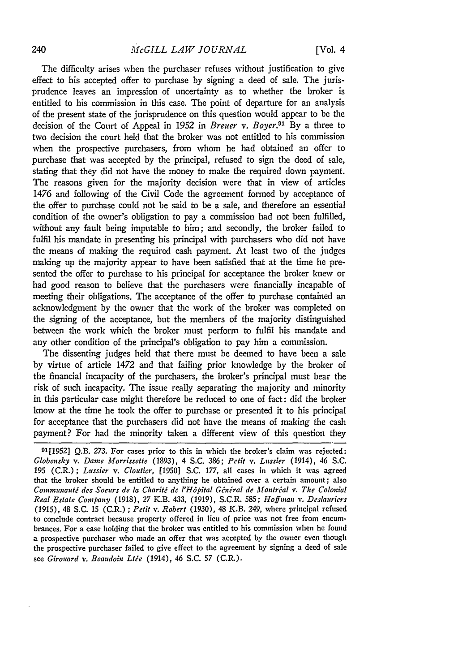The difficulty arises when the purchaser refuses without justification to give effect to his accepted offer to purchase by signing a deed of sale. The jurisprudence leaves an impression of uncertainty as to whether the broker is entitled to his commission in this case. The point of departure for an analysis of the present state of the jurisprudence on this question would appear to be the decision of the Court of Appeal in 1952 in *Breuer v. Boyer.<sup>91</sup>*By a three to two decision the court held that the broker was not entitled to his commission when the prospective purchasers, from whom he had obtained an offer to purchase that was accepted by the principal, refused to sign the deed of sale, stating that they did not have the money to make the required down payment. The reasons given for the majority decision were that in view of articles 1476 and following of the Civil Code the agreement formed by acceptance of the offer to purchase could not be said to be a sale, and therefore an essential condition of the owner's obligation to pay a commission had not been fulfilled, without any fault being imputable to him; and secondly, the broker failed to fulfil his mandate in presenting his principal with purchasers who did not have the means of making the required cash payment. At least two of the judges making up the majority appear to have been satisfied that at the time he presented the offer to purchase to his principal for acceptance the broker knew or had good reason to believe that the purchasers were financially incapable of meeting their obligations. The acceptance of the offer to purchase contained an acknowledgment by the owner that the work of the broker was completed on the signing of the acceptance, but the members of the majority distinguished between the work which the broker must perform to fulfil his mandate and any other condition of the principal's obligation to pay him a commission.

The dissenting judges held that there must be deemed to have been a sale by virtue of article 1472 and that failing prior knowledge by the broker of the financial incapacity of the purchasers, the broker's principal must bear the risk of such incapacity. The issue really separating the majority and minority in this particular case might therefore be reduced to one of fact: did the broker know at the time he took the offer to purchase or presented it to his principal for acceptance that the purchasers did not have the means of making the cash payment? For had the minority taken a different view of this question they

91[1952] Q.B. 273. For cases prior to this in which the broker's claim was rejected: *Globensky v. Dame Morrissette* (1893), 4 **S.C.** 386; *Petit v. Lussier* (1914), 46 **S.C. 195** (C.R.) *; Lussier v. Cloutier,* [19501 **S.C.** 177, all cases in which it was agreed that the broker should be entitled to anything he obtained over a certain amount; also *Communauté des Soeurs de la Charité de l'Hôpital Général de Montréal v. The Colonial Real Estate Company* **(1918), 27** K.B. 433, **(1919),** S.C.R. **585;** *Hoffman v. Deslanriers* **(1915),** 48 **S.C. 15** (C.R.) *; Petit v. Robert* **(1930),** 48 K.B. 249, where principal refused to conclude contract because property offered in lieu of price was not free from encumbrances. For a case holding that the broker was entitled to his commission when he found a prospective purchaser who made an offer that was accepted by the owner even though the prospective purchaser failed to give effect to the agreement **by** signing a deed of sale see *Girouard v. Beaudoin Ltée* (1914), 46 S.C. 57 (C.R.).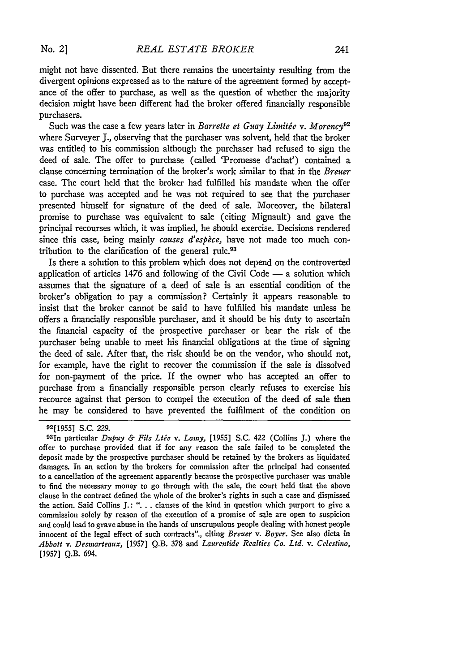Such was the case a few years later in *Barrette et Guay Limitée v. Morency*<sup>92</sup> where Surveyer **J.,** observing that the purchaser was solvent, held that the broker was entitled to his commission although the purchaser had refused to sign the deed of sale. The offer to purchase (called 'Promesse d'achat') contained a clause concerning termination of the broker's work similar to that in the *Breuer* case. The court held that the broker had fulfilled his mandate when the offer to purchase was accepted and he Was not required to see that the purchaser presented himself for signature of the deed of sale. Moreover, the bilateral promise to purchase was equivalent to sale (citing Mignault) and gave the principal recourses which, it was implied, he should exercise. Decisions rendered since this case, being mainly *causes d'espèce*, have not made too much contribution to the clarification of the general rule.<sup>93</sup>

Is there a solution to this problem which does not depend on the controverted application of articles  $1476$  and following of the Civil Code  $-$  a solution which assumes that the signature of a deed of sale is an essential condition of the broker's obligation to pay a commission? Certainly it appears reasonable to insist that the broker cannot be said to have fulfilled his mandate unless he offers a financially responsible purchaser, and it should be his duty to ascertain the financial capacity of the prospective purchaser or bear the risk of the purchaser being unable to meet his financial obligations at the time of signing the deed of sale. After that, the risk should be on the vendor, who should not, for example, have the right to recover the commission if the sale is dissolved for non-payment of the price. If the owner who has accepted an offer to purchase from a financially responsible person clearly refuses to exercise his recource against that person to compel the execution of the deed of sale then he may be considered to have prevented the fulfilment of the condition on

**<sup>92[1955]</sup>** S.C. 229.

<sup>93</sup> 1n particular *Dupuy &* Fils *Lte v. Lamy,* [1955] S.C. 422 (Collins **J.)** where the offer to purchase provided that if for any reason the sale failed to be completed the deposit made **by** the prospective purchaser should be retained **by** the brokers as liquidated damages. In an action **by** the brokers for commission after the principal had consented to a cancellation of the agreement apparently because the prospective purchaser was unable to find the necessary money to go through with the sale, the court held that the above clause in the contract defined the whole of the broker's rights in such a case and dismissed the action. Said Collins **J.:** *"...* **.** clauses of the kind in question which purport to give a commission solely **by** reason of the execution of a promise of sale are open to suspicion and could lead to grave abuse in the hands **of** unscrupulous people dealing with honest people innocent of the legal effect of such contracts"., citing *Breuer v. Boyer.* See also dicta in *Abbott v. Desmarteaux,* [1957] **Q.B.** 378 and *Laurentide Realties* Co. *Ltd. v. Celestino,* [1957] Q.B. 694.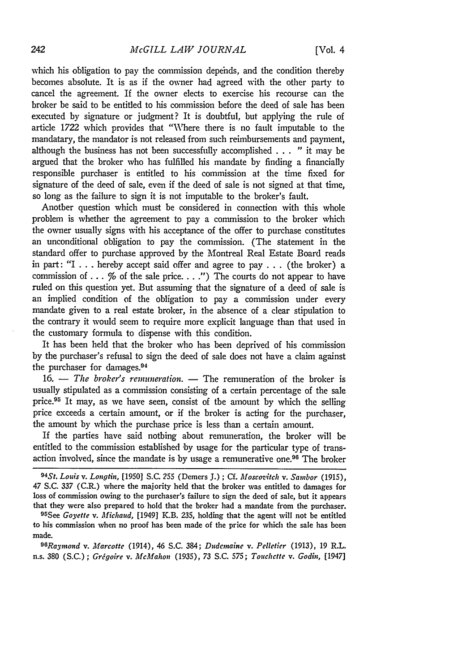which his obligation to pay the commission depends, and the condition thereby becomes absolute. It is as if the owner had agreed with the other party to cancel the agreement. If the owner elects to exercise his recourse can the broker be said to be entitled to his commission before the deed of sale has been executed by signature or judgment? It is doubtful, but applying the rule of article 1722 which provides that "Where there is no fault imputable to the mandatary, the mandator is not released from such reimbursements and payment, although the business has not been successfully accomplished . . . " it may be argued that the broker who has fulfilled his mandate by finding a financially responsible purchaser is entitled to his commission at the time fixed for signature of the deed of sale, even if the deed of sale is not signed at that time, so long as the failure to sign it is not imputable to the broker's fault.

Another question which must be considered in connection with this whole problem is whether the agreement to pay a commission to the broker which the owner usually signs with his acceptance of the offer to purchase constitutes an unconditional obligation to pay the commission. (The statement in the standard offer to purchase approved by the Montreal Real Estate Board reads in part: "I ... hereby accept said offer and agree to pay **. .** . (the broker) a commission of ... % of the sale price. . . **.")** The courts do not appear to have ruled on this question yet. But assuming that the signature of a deed of sale is an implied condition of the obligation to pay a commission under every mandate given to a real estate broker, in the absence of a clear stipulation to the contrary it would seem to require more explicit language than that used in the customary formula to dispense with this condition.

It has been held that the broker who has been deprived of his commission by the purchaser's refusal to sign the deed of sale does not have a claim against the purchaser for damages.<sup>94</sup>

16. - *The broker's remuneration*. - The remuneration of the broker is usually stipulated as a commission consisting of a certain percentage of the sale price.<sup>95</sup> It may, as we have seen, consist of the amount by which the selling price exceeds a certain amount, or if the broker is acting for the purchaser, the amount by which the purchase price is less than a certain amount.

If the parties have said nothing about remuneration, the broker will be entitled to the commission established by usage for the particular type of transaction involved, since the mandate is by usage a remunerative one.<sup>96</sup> The broker

*9 6 Raymond v. Marcotte* (1914), 46 **S.C.** 384; *Dudemaine v. Pelletier* (1913), **19** R.L. n.s. 380 (S.C.); *Grigoire v. McMahon* (1935), 73 S.C. 575; *Touchette v. Godin,* [1947]

*<sup>94</sup>St. Louis v. Longtin,* [1950] S.C. 255 (Demers J.) ; Cf. *AMoscozvitch v. Sambor* (1915), 47 S.C. *337* (C.R.) where the majority held that the broker was entitled to damages for loss of commission owing to the purchaser's failure to sign the deed of sale, but it appears

that they were also prepared to hold that the broker had a mandate from the purchaser. *95See Goyette v. Michzaud,* [1949] K.B. 235, holding that the agent will not be entitled to his commission when no proof has been made of the price for which the sale has been made.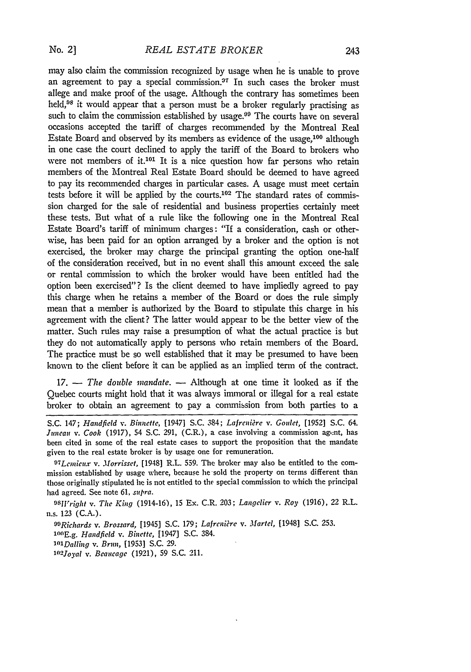may also claim the commission recognized **by** usage when he is unable to prove an agreement to pay a special commission.<sup>37</sup> In such cases the broker must allege and make proof of the usage. Although the contrary has sometimes been held,  $98$  it would appear that a person must be a broker regularly practising as such to claim the commission established by usage.<sup>99</sup> The courts have on several occasions accepted the tariff of charges recommended by the Montreal Real Estate Board and observed **by** its members as evidence of the usage,100 although in one case the court declined to apply the tariff of the Board to brokers who were not members of it.<sup>101</sup> It is a nice question how far persons who retain members of the Montreal Real Estate Board should be deemed to have agreed to pay its recommended charges in particular cases. **A** usage must meet certain tests before it will be applied by the courts.<sup>102</sup> The standard rates of commission charged for the sale of residential and business properties certainly meet these tests. But what of a rule like the following one in the Montreal Real Estate Board's tariff of minimum charges: "If a consideration, cash or otherwise, has been paid for an option arranged by a broker and the option is not exercised, the broker may charge the principal granting the option one-half of the consideration received, but in no event shall this amount exceed the sale or rental commission to which the broker would have been entitled had the option been exercised"? Is the client deemed to have impliedly agreed to pay this charge when he retains a member of the Board or does the rule simply mean that a member is authorized by the Board to stipulate this charge in his agreement with the client? The latter would appear to be the better view of the matter. Such rules may raise a presumption of what the actual practice is but they do not automatically apply to persons who retain members of the Board. The practice must be so well established that it may be presumed to have been known to the client before it can be applied as an implied term of the contract.

17. **-** *The double mandate.* **-** Although at one time it looked as if the Quebec courts might hold that it was always immoral or illegal for a real estate broker to obtain an agreement to pay a commission from both parties to a

*97Lcnmieux v. Morrisset,* [19481 R.L. 559. The broker may also be entitled to the commission established by usage where, because he-sold the property on terms different than those originally stipulated he is not entitled to the special commission to which the principal had agreed. See note 61, *supra.*

*OSiright v. The King* (1914-16), 15 Ex. C.R. 203; *Langelier v. Roy* (1916), 22 R.L. n.s. 123 (C.A.).

*09 Riclards v. Brossard,* [1945] S.C. 179; *Lafreiire v. Martel,* [1948] S.C. 253. *1 <sup>0</sup> (E.g. Handfield v. Binette,* [1947] S.C. 384. *' <sup>0</sup> 1Dalling v. Brun,* **[1953]** S.C. 29. *1o2joyal v. Beaucage* (1921), 59 S.C. 211.

S.C. 147; *Handfield v. Binnette,* [1947] S.C. 384; *Lafrcni&e v. Goidet,* [1952] S.C. 64. *Juneau v. Cook* (1917), 54 S.C. 291, (C.R.), a case involving a commission agent, has been cited in some of the real estate cases to support the proposition that the mandate given to the real estate broker is by usage one for remuneration.